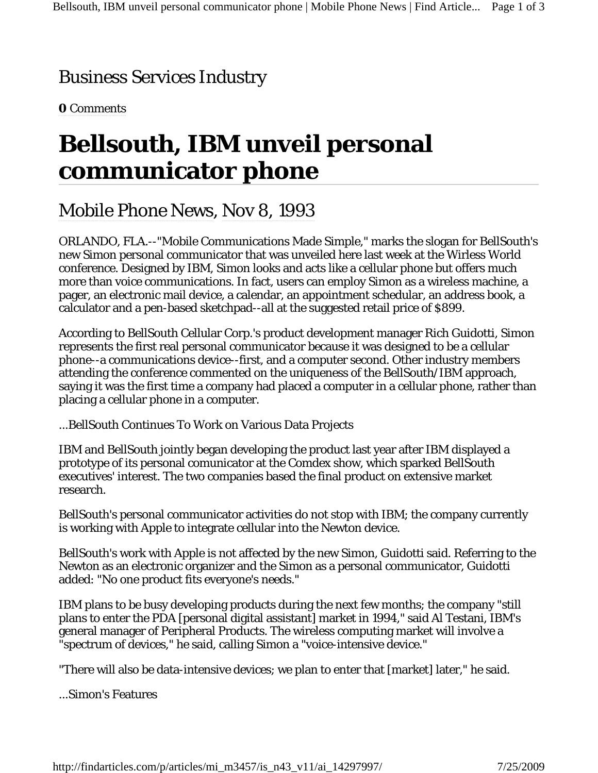## Business Services Industry

**0** Comments

## **Bellsouth, IBM unveil personal communicator phone**

## Mobile Phone News, Nov 8, 1993

ORLANDO, FLA.--"Mobile Communications Made Simple," marks the slogan for BellSouth's new Simon personal communicator that was unveiled here last week at the Wirless World conference. Designed by IBM, Simon looks and acts like a cellular phone but offers much more than voice communications. In fact, users can employ Simon as a wireless machine, a pager, an electronic mail device, a calendar, an appointment schedular, an address book, a calculator and a pen-based sketchpad--all at the suggested retail price of \$899.

According to BellSouth Cellular Corp.'s product development manager Rich Guidotti, Simon represents the first real personal communicator because it was designed to be a cellular phone--a communications device--first, and a computer second. Other industry members attending the conference commented on the uniqueness of the BellSouth/IBM approach, saying it was the first time a company had placed a computer in a cellular phone, rather than placing a cellular phone in a computer.

...BellSouth Continues To Work on Various Data Projects

IBM and BellSouth jointly began developing the product last year after IBM displayed a prototype of its personal comunicator at the Comdex show, which sparked BellSouth executives' interest. The two companies based the final product on extensive market research.

BellSouth's personal communicator activities do not stop with IBM; the company currently is working with Apple to integrate cellular into the Newton device.

BellSouth's work with Apple is not affected by the new Simon, Guidotti said. Referring to the Newton as an electronic organizer and the Simon as a personal communicator, Guidotti added: "No one product fits everyone's needs."

IBM plans to be busy developing products during the next few months; the company "still plans to enter the PDA [personal digital assistant] market in 1994," said Al Testani, IBM's general manager of Peripheral Products. The wireless computing market will involve a "spectrum of devices," he said, calling Simon a "voice-intensive device."

"There will also be data-intensive devices; we plan to enter that [market] later," he said.

...Simon's Features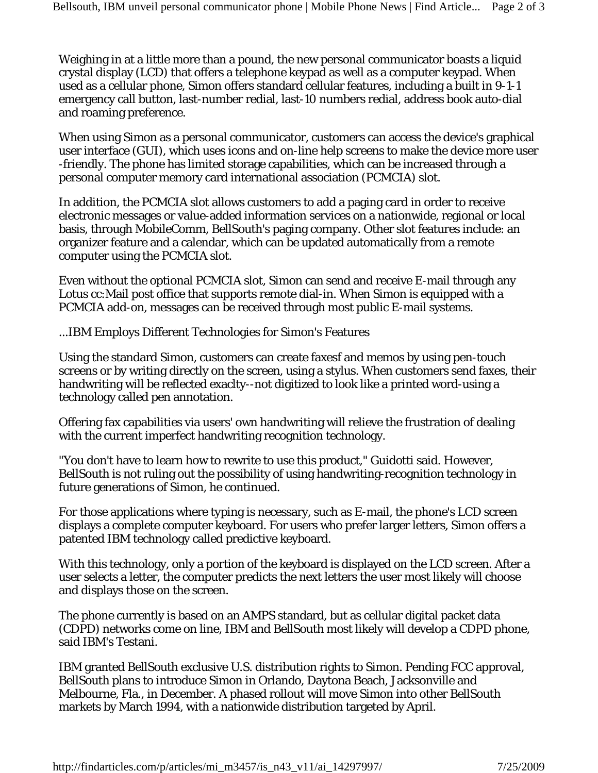Weighing in at a little more than a pound, the new personal communicator boasts a liquid crystal display (LCD) that offers a telephone keypad as well as a computer keypad. When used as a cellular phone, Simon offers standard cellular features, including a built in 9-1-1 emergency call button, last-number redial, last-10 numbers redial, address book auto-dial and roaming preference.

When using Simon as a personal communicator, customers can access the device's graphical user interface (GUI), which uses icons and on-line help screens to make the device more user -friendly. The phone has limited storage capabilities, which can be increased through a personal computer memory card international association (PCMCIA) slot.

In addition, the PCMCIA slot allows customers to add a paging card in order to receive electronic messages or value-added information services on a nationwide, regional or local basis, through MobileComm, BellSouth's paging company. Other slot features include: an organizer feature and a calendar, which can be updated automatically from a remote computer using the PCMCIA slot.

Even without the optional PCMCIA slot, Simon can send and receive E-mail through any Lotus cc:Mail post office that supports remote dial-in. When Simon is equipped with a PCMCIA add-on, messages can be received through most public E-mail systems.

...IBM Employs Different Technologies for Simon's Features

Using the standard Simon, customers can create faxesf and memos by using pen-touch screens or by writing directly on the screen, using a stylus. When customers send faxes, their handwriting will be reflected exaclty--not digitized to look like a printed word-using a technology called pen annotation.

Offering fax capabilities via users' own handwriting will relieve the frustration of dealing with the current imperfect handwriting recognition technology.

"You don't have to learn how to rewrite to use this product," Guidotti said. However, BellSouth is not ruling out the possibility of using handwriting-recognition technology in future generations of Simon, he continued.

For those applications where typing is necessary, such as E-mail, the phone's LCD screen displays a complete computer keyboard. For users who prefer larger letters, Simon offers a patented IBM technology called predictive keyboard.

With this technology, only a portion of the keyboard is displayed on the LCD screen. After a user selects a letter, the computer predicts the next letters the user most likely will choose and displays those on the screen.

The phone currently is based on an AMPS standard, but as cellular digital packet data (CDPD) networks come on line, IBM and BellSouth most likely will develop a CDPD phone, said IBM's Testani.

IBM granted BellSouth exclusive U.S. distribution rights to Simon. Pending FCC approval, BellSouth plans to introduce Simon in Orlando, Daytona Beach, Jacksonville and Melbourne, Fla., in December. A phased rollout will move Simon into other BellSouth markets by March 1994, with a nationwide distribution targeted by April.